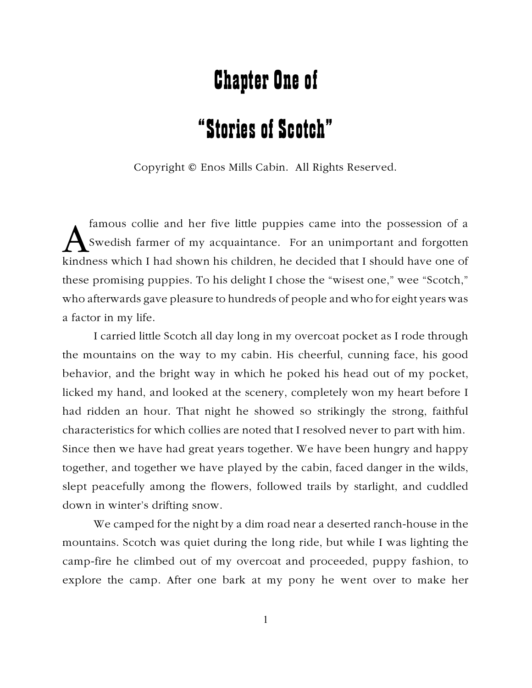## Chapter One of

## "Stories of Scotch"

Copyright © Enos Mills Cabin. All Rights Reserved.

famous collie and her five little puppies came into the possession of a<br>Swedish farmer of my acquaintance. For an unimportant and forgotten<br>kindness which I had shown his children, he decided that I should have one of famous collie and her five little puppies came into the possession of a Swedish farmer of my acquaintance. For an unimportant and forgotten these promising puppies. To his delight I chose the "wisest one," wee "Scotch," who afterwards gave pleasure to hundreds of people and who for eight years was a factor in my life.

I carried little Scotch all day long in my overcoat pocket as I rode through the mountains on the way to my cabin. His cheerful, cunning face, his good behavior, and the bright way in which he poked his head out of my pocket, licked my hand, and looked at the scenery, completely won my heart before I had ridden an hour. That night he showed so strikingly the strong, faithful characteristics for which collies are noted that I resolved never to part with him. Since then we have had great years together. We have been hungry and happy together, and together we have played by the cabin, faced danger in the wilds, slept peacefully among the flowers, followed trails by starlight, and cuddled down in winter's drifting snow.

We camped for the night by a dim road near a deserted ranch-house in the mountains. Scotch was quiet during the long ride, but while I was lighting the camp-fire he climbed out of my overcoat and proceeded, puppy fashion, to explore the camp. After one bark at my pony he went over to make her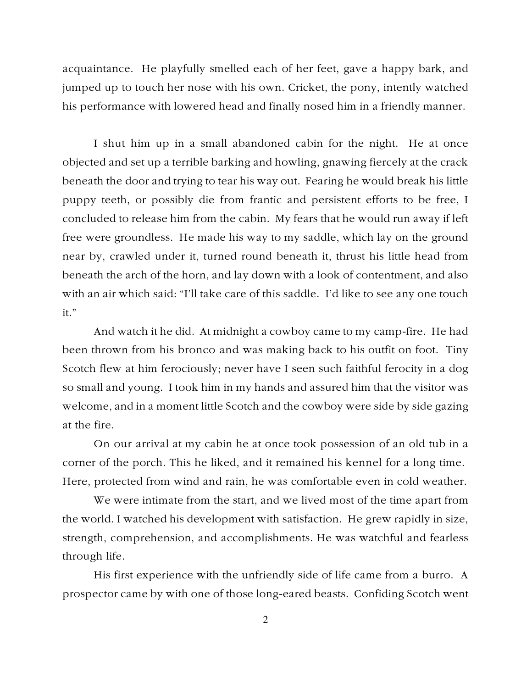acquaintance. He playfully smelled each of her feet, gave a happy bark, and jumped up to touch her nose with his own. Cricket, the pony, intently watched his performance with lowered head and finally nosed him in a friendly manner.

I shut him up in a small abandoned cabin for the night. He at once objected and set up a terrible barking and howling, gnawing fiercely at the crack beneath the door and trying to tear his way out. Fearing he would break his little puppy teeth, or possibly die from frantic and persistent efforts to be free, I concluded to release him from the cabin. My fears that he would run away if left free were groundless. He made his way to my saddle, which lay on the ground near by, crawled under it, turned round beneath it, thrust his little head from beneath the arch of the horn, and lay down with a look of contentment, and also with an air which said: "I'll take care of this saddle. I'd like to see any one touch it."

And watch it he did. At midnight a cowboy came to my camp-fire. He had been thrown from his bronco and was making back to his outfit on foot. Tiny Scotch flew at him ferociously; never have I seen such faithful ferocity in a dog so small and young. I took him in my hands and assured him that the visitor was welcome, and in a moment little Scotch and the cowboy were side by side gazing at the fire.

On our arrival at my cabin he at once took possession of an old tub in a corner of the porch. This he liked, and it remained his kennel for a long time. Here, protected from wind and rain, he was comfortable even in cold weather.

We were intimate from the start, and we lived most of the time apart from the world. I watched his development with satisfaction. He grew rapidly in size, strength, comprehension, and accomplishments. He was watchful and fearless through life.

His first experience with the unfriendly side of life came from a burro. A prospector came by with one of those long-eared beasts. Confiding Scotch went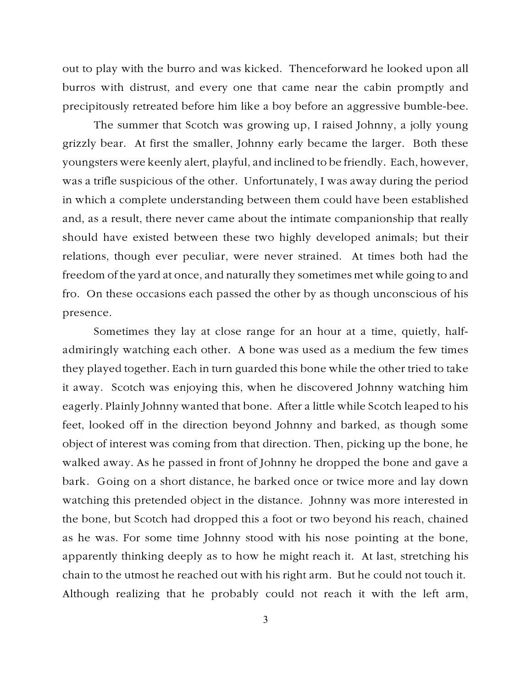out to play with the burro and was kicked. Thenceforward he looked upon all burros with distrust, and every one that came near the cabin promptly and precipitously retreated before him like a boy before an aggressive bumble-bee.

The summer that Scotch was growing up, I raised Johnny, a jolly young grizzly bear. At first the smaller, Johnny early became the larger. Both these youngsters were keenly alert, playful, and inclined to be friendly. Each, however, was a trifle suspicious of the other. Unfortunately, I was away during the period in which a complete understanding between them could have been established and, as a result, there never came about the intimate companionship that really should have existed between these two highly developed animals; but their relations, though ever peculiar, were never strained. At times both had the freedom of the yard at once, and naturally they sometimes met while going to and fro. On these occasions each passed the other by as though unconscious of his presence.

Sometimes they lay at close range for an hour at a time, quietly, halfadmiringly watching each other. A bone was used as a medium the few times they played together. Each in turn guarded this bone while the other tried to take it away. Scotch was enjoying this, when he discovered Johnny watching him eagerly. Plainly Johnny wanted that bone. After a little while Scotch leaped to his feet, looked off in the direction beyond Johnny and barked, as though some object of interest was coming from that direction. Then, picking up the bone, he walked away. As he passed in front of Johnny he dropped the bone and gave a bark. Going on a short distance, he barked once or twice more and lay down watching this pretended object in the distance. Johnny was more interested in the bone, but Scotch had dropped this a foot or two beyond his reach, chained as he was. For some time Johnny stood with his nose pointing at the bone, apparently thinking deeply as to how he might reach it. At last, stretching his chain to the utmost he reached out with his right arm. But he could not touch it. Although realizing that he probably could not reach it with the left arm,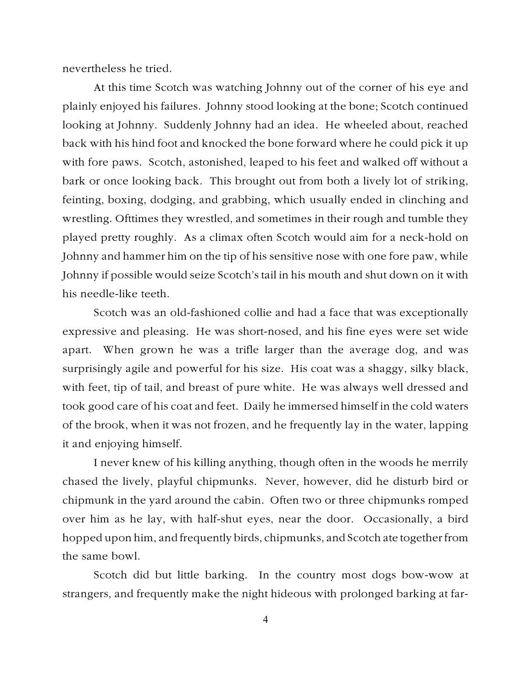nevertheless he tried.

At this time Scotch was watching Johnny out of the corner of his eye and plainly enjoyed his failures. Johnny stood looking at the bone; Scotch continued looking at Johnny. Suddenly Johnny had an idea. He wheeled about, reached back with his hind foot and knocked the bone forward where he could pick it up with fore paws. Scotch, astonished, leaped to his feet and walked off without a bark or once looking back. This brought out from both a lively lot of striking, feinting, boxing, dodging, and grabbing, which usually ended in clinching and wrestling. Ofttimes they wrestled, and sometimes in their rough and tumble they played pretty roughly. As a climax often Scotch would aim for a neck-hold on Johnny and hammer him on the tip of his sensitive nose with one fore paw, while Johnny if possible would seize Scotch's tail in his mouth and shut down on it with his needle-like teeth.

Scotch was an old-fashioned collie and had a face that was exceptionally expressive and pleasing. He was short-nosed, and his fine eyes were set wide apart. When grown he was a trifle larger than the average dog, and was surprisingly agile and powerful for his size. His coat was a shaggy, silky black, with feet, tip of tail, and breast of pure white. He was always well dressed and took good care of his coat and feet. Daily he immersed himself in the cold waters of the brook, when it was not frozen, and he frequently lay in the water, lapping it and enjoying himself.

I never knew of his killing anything, though often in the woods he merrily chased the lively, playful chipmunks. Never, however, did he disturb bird or chipmunk in the yard around the cabin. Often two or three chipmunks romped over him as he lay, with half-shut eyes, near the door. Occasionally, a bird hopped upon him, and frequently birds, chipmunks, and Scotch ate together from the same bowl.

Scotch did but little barking. In the country most dogs bow-wow at strangers, and frequently make the night hideous with prolonged barking at far